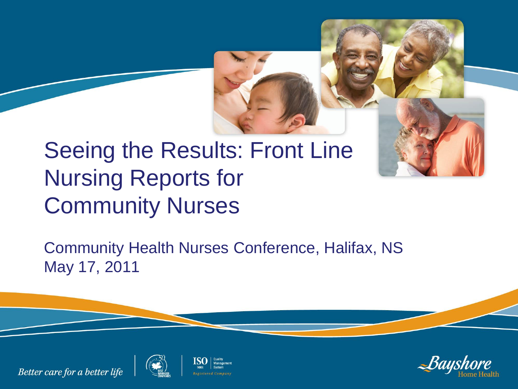

## Seeing the Results: Front Line Nursing Reports for Community Nurses

Community Health Nurses Conference, Halifax, NS May 17, 2011





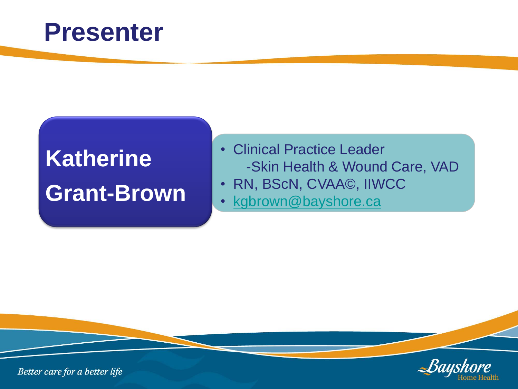#### **Presenter**

# **Katherine Grant-Brown**

- Clinical Practice Leader -Skin Health & Wound Care, VAD
- RN, BScN, CVAA©, IIWCC
- [kgbrown@bayshore.ca](mailto:kgbrown@bayshore.ca)

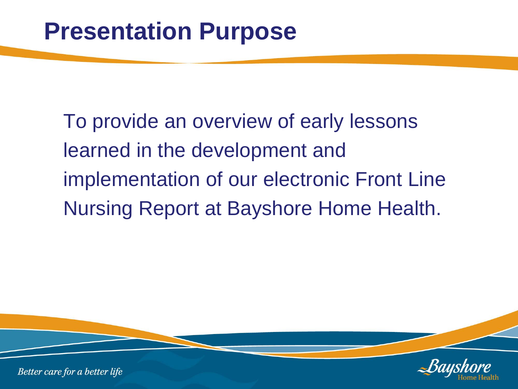To provide an overview of early lessons learned in the development and implementation of our electronic Front Line Nursing Report at Bayshore Home Health.

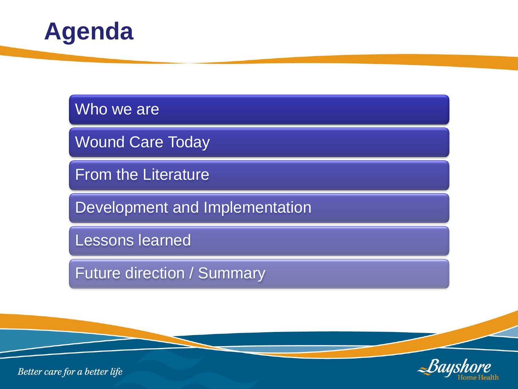

#### Who we are

Wound Care Today

From the Literature

Development and Implementation

Lessons learned

Future direction / Summary

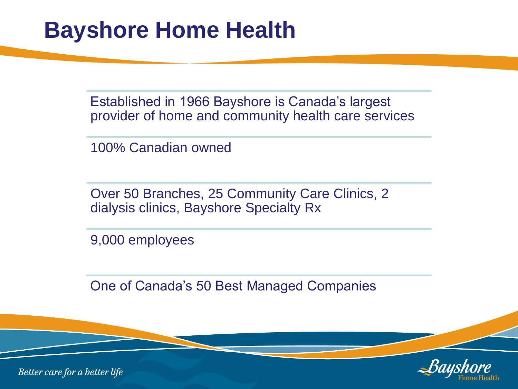#### **Bayshore Home Health**

Established in 1966 Bayshore is Canada's largest provider of home and community health care services

100% Canadian owned

Over 50 Branches, 25 Community Care Clinics, 2 dialysis clinics, Bayshore Specialty Rx

9,000 employees

One of Canada's 50 Best Managed Companies

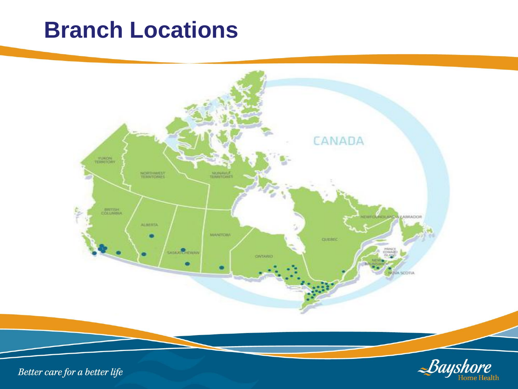#### **Branch Locations**

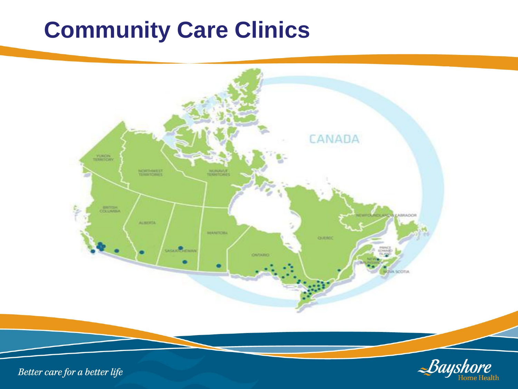#### **Community Care Clinics**



**Home Health**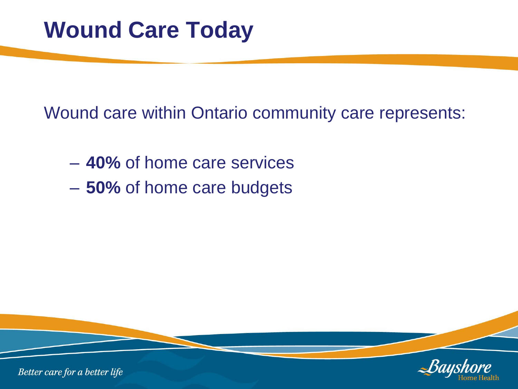Wound care within Ontario community care represents:

- **40%** of home care services
- **50%** of home care budgets

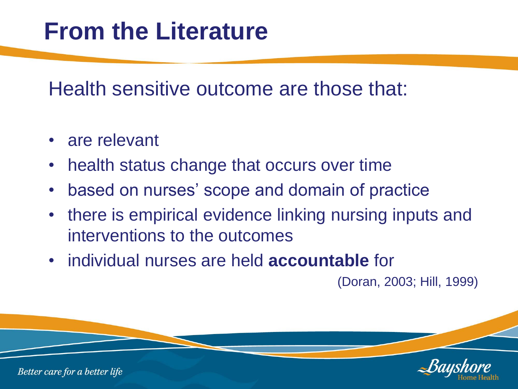## **From the Literature**

Health sensitive outcome are those that:

- are relevant
- health status change that occurs over time
- based on nurses' scope and domain of practice
- there is empirical evidence linking nursing inputs and interventions to the outcomes
- individual nurses are held **accountable** for

(Doran, 2003; Hill, 1999)

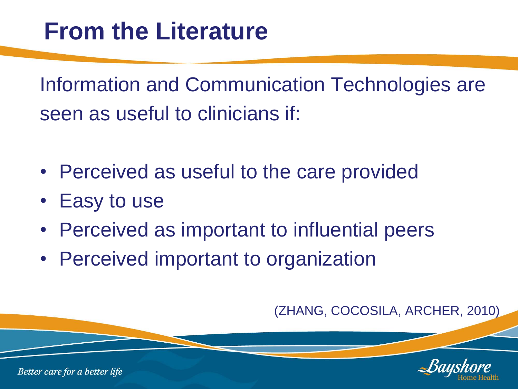Information and Communication Technologies are seen as useful to clinicians if:

- Perceived as useful to the care provided
- Easy to use
- Perceived as important to influential peers
- Perceived important to organization

(ZHANG, COCOSILA, ARCHER, 2010)

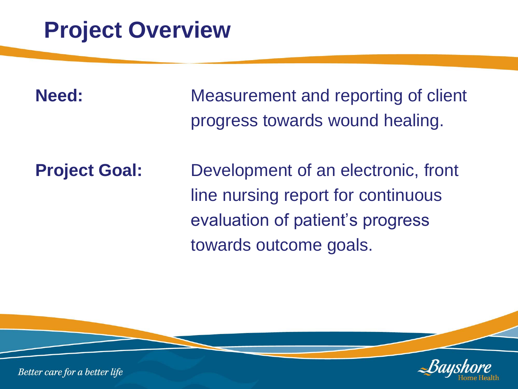#### **Project Overview**

**Need:** Measurement and reporting of client progress towards wound healing.

**Project Goal:** Development of an electronic, front line nursing report for continuous evaluation of patient's progress towards outcome goals.

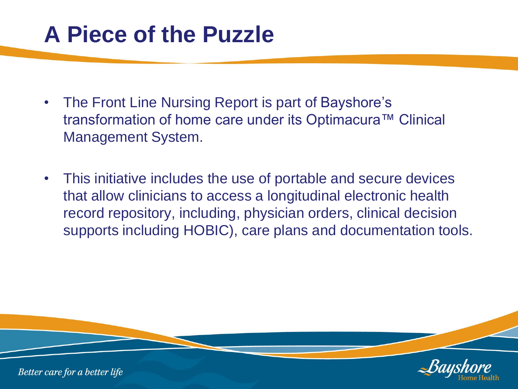#### **A Piece of the Puzzle**

- The Front Line Nursing Report is part of Bayshore's transformation of home care under its Optimacura™ Clinical Management System.
- This initiative includes the use of portable and secure devices that allow clinicians to access a longitudinal electronic health record repository, including, physician orders, clinical decision supports including HOBIC), care plans and documentation tools.

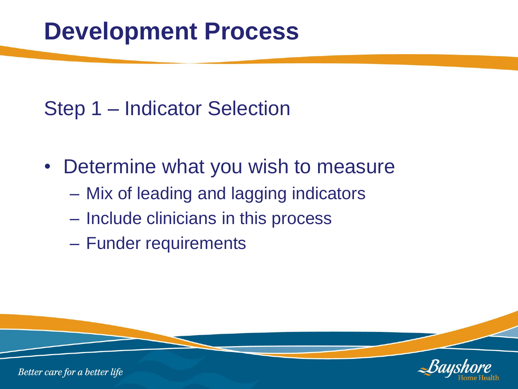#### Step 1 – Indicator Selection

- Determine what you wish to measure
	- Mix of leading and lagging indicators
	- Include clinicians in this process
	- Funder requirements

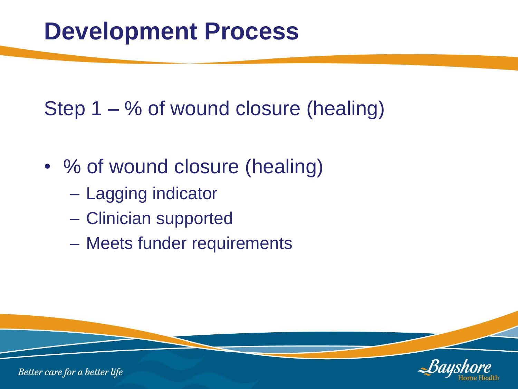Step 1 – % of wound closure (healing)

- % of wound closure (healing)
	- Lagging indicator
	- Clinician supported
	- Meets funder requirements

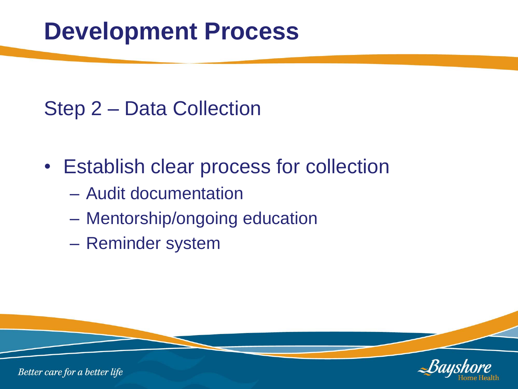#### Step 2 – Data Collection

- Establish clear process for collection
	- Audit documentation
	- Mentorship/ongoing education
	- Reminder system

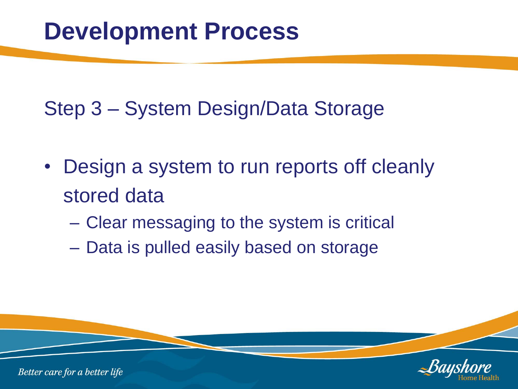Step 3 – System Design/Data Storage

- Design a system to run reports off cleanly stored data
	- Clear messaging to the system is critical
	- Data is pulled easily based on storage

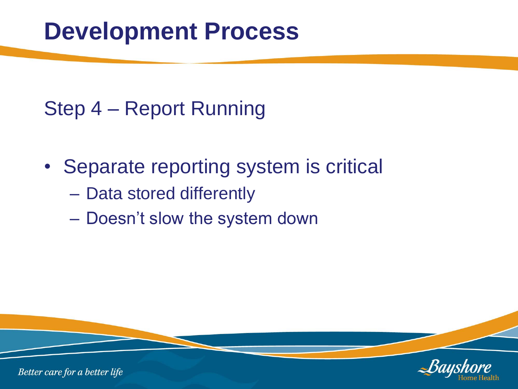#### Step 4 – Report Running

- Separate reporting system is critical
	- Data stored differently
	- Doesn't slow the system down

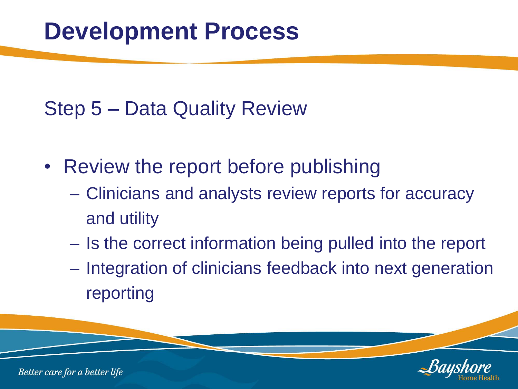#### Step 5 – Data Quality Review

- Review the report before publishing
	- Clinicians and analysts review reports for accuracy and utility
	- Is the correct information being pulled into the report
	- Integration of clinicians feedback into next generation reporting

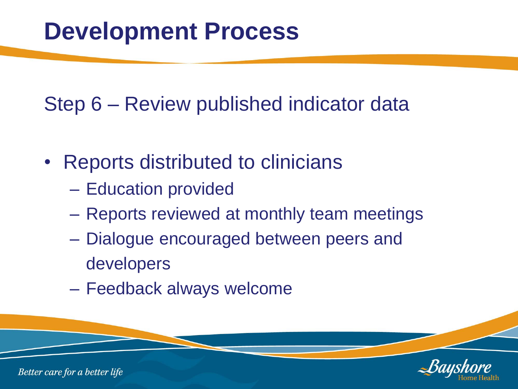Step 6 – Review published indicator data

- Reports distributed to clinicians
	- Education provided
	- Reports reviewed at monthly team meetings
	- Dialogue encouraged between peers and developers
	- Feedback always welcome

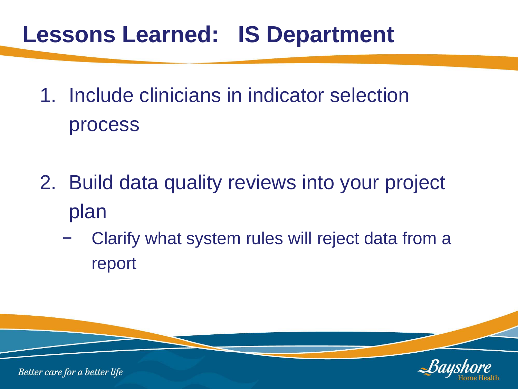### **Lessons Learned: IS Department**

- 1. Include clinicians in indicator selection process
- 2. Build data quality reviews into your project plan
	- Clarify what system rules will reject data from a report

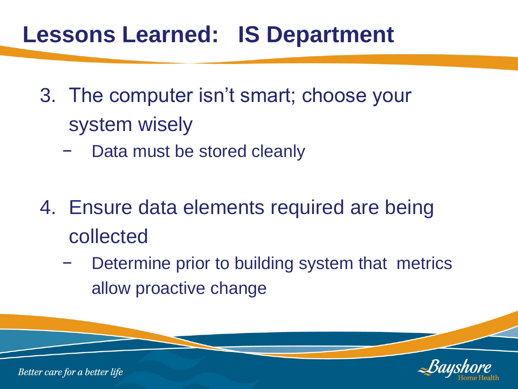### **Lessons Learned: IS Department**

- 3. The computer isn't smart; choose your system wisely
	- Data must be stored cleanly
- 4. Ensure data elements required are being collected
	- Determine prior to building system that metrics allow proactive change

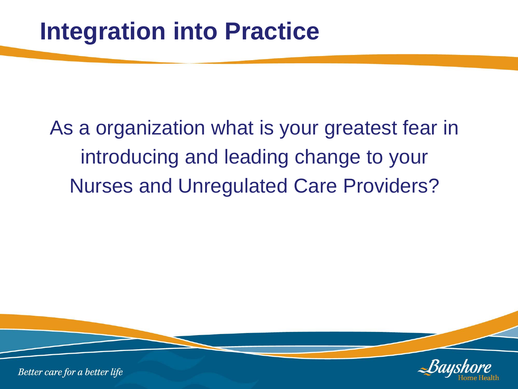As a organization what is your greatest fear in introducing and leading change to your Nurses and Unregulated Care Providers?

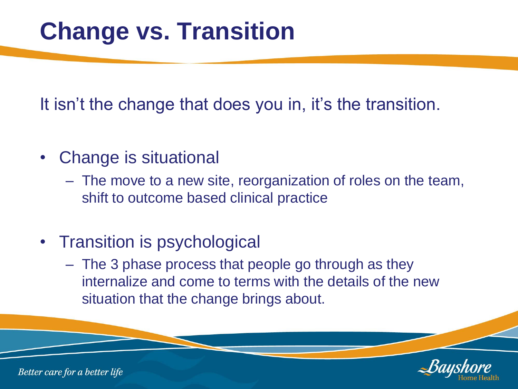# **Change vs. Transition**

It isn't the change that does you in, it's the transition.

- Change is situational
	- The move to a new site, reorganization of roles on the team, shift to outcome based clinical practice
- Transition is psychological
	- The 3 phase process that people go through as they internalize and come to terms with the details of the new situation that the change brings about.

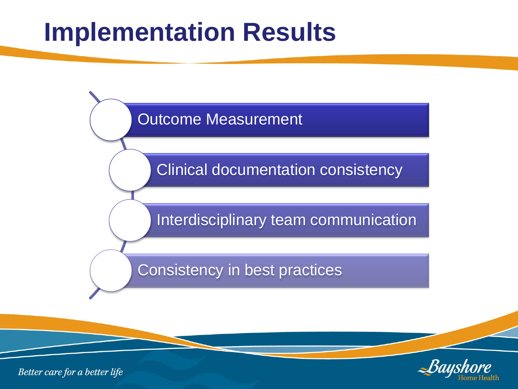# **Implementation Results**



Clinical documentation consistency

Interdisciplinary team communication

Consistency in best practices

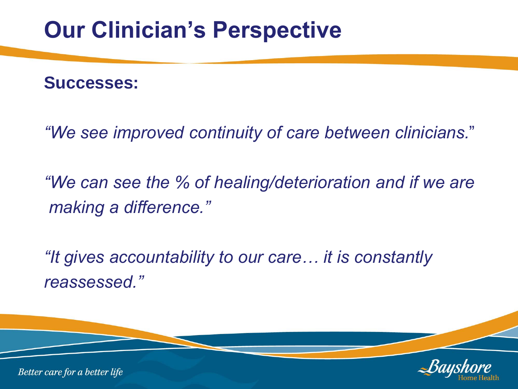#### **Successes:**

*"We see improved continuity of care between clinicians.*"

*"We can see the % of healing/deterioration and if we are making a difference."*

*"It gives accountability to our care… it is constantly reassessed."*

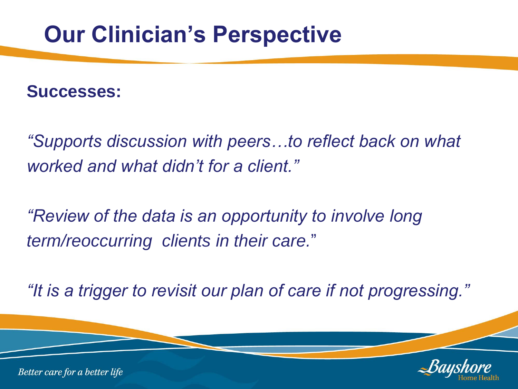#### **Successes:**

*"Supports discussion with peers…to reflect back on what worked and what didn't for a client."*

*"Review of the data is an opportunity to involve long term/reoccurring clients in their care.*"

*"It is a trigger to revisit our plan of care if not progressing."*

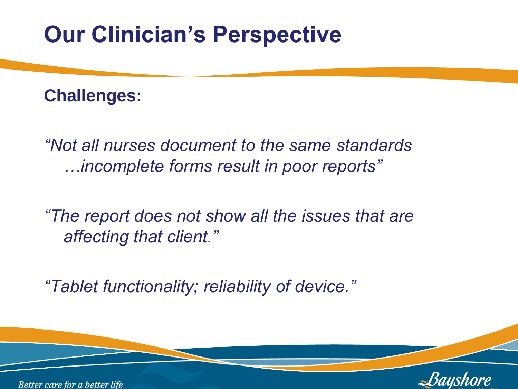#### **Challenges:**

*"Not all nurses document to the same standards …incomplete forms result in poor reports"*

*"The report does not show all the issues that are affecting that client."*

*"Tablet functionality; reliability of device."*

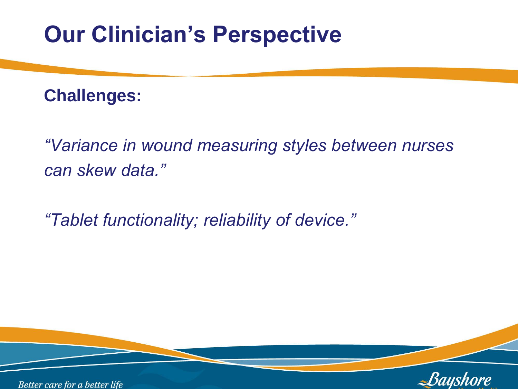#### **Challenges:**

*"Variance in wound measuring styles between nurses can skew data."*

*"Tablet functionality; reliability of device."*

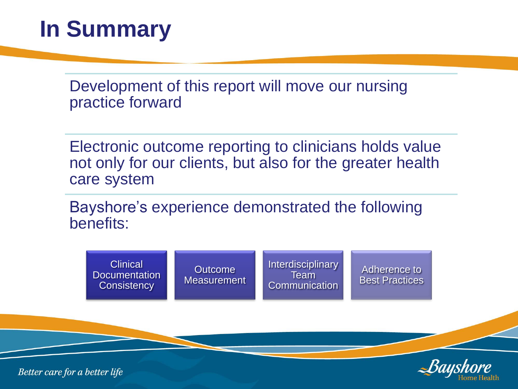## **In Summary**

Development of this report will move our nursing practice forward

Electronic outcome reporting to clinicians holds value not only for our clients, but also for the greater health care system

Bayshore's experience demonstrated the following benefits: